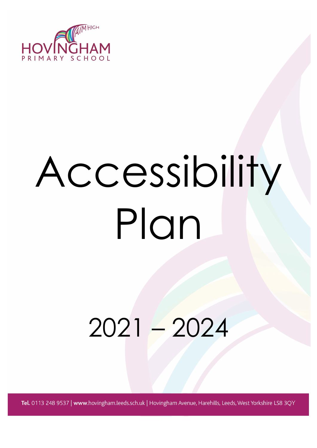

# Accessibility Plan

# 2021 – 2024

Tel. 0113 248 9537 | www.hovingham.leeds.sch.uk | Hovingham Avenue, Harehills, Leeds, West Yorkshire LS8 3QY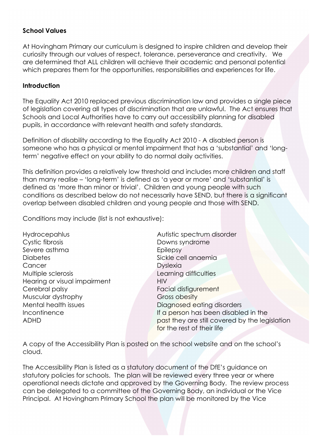## **School Values**

At Hovingham Primary our curriculum is designed to inspire children and develop their curiosity through our values of respect, tolerance, perseverance and creativity. We are determined that ALL children will achieve their academic and personal potential which prepares them for the opportunities, responsibilities and experiences for life.

#### **Introduction**

The Equality Act 2010 replaced previous discrimination law and provides a single piece of legislation covering all types of discrimination that are unlawful. The Act ensures that Schools and Local Authorities have to carry out accessibility planning for disabled pupils, in accordance with relevant health and safety standards.

Definition of disability according to the Equality Act 2010 - A disabled person is someone who has a physical or mental impairment that has a 'substantial' and 'longterm' negative effect on your ability to do normal daily activities.

This definition provides a relatively low threshold and includes more children and staff than many realise – 'long-term' is defined as 'a year or more' and 'substantial' is defined as 'more than minor or trivial'. Children and young people with such conditions as described below do not necessarily have SEND, but there is a significant overlap between disabled children and young people and those with SEND.

Conditions may include (list is not exhaustive):

- Hydrocepahlus **Autistic spectrum disorder** Cystic fibrosis Downs syndrome Severe asthma example and the Epilepsy Diabetes Sickle cell anaemia Cancer Dyslexia Multiple sclerosis Learning difficulties Hearing or visual impairment HIV Cerebral palsy Facial disfigurement Muscular dystrophy Gross obesity Mental health issues **Diagnosed eating disorders**
- Incontinence Incontinence If a person has been disabled in the ADHD **ADHD past they are still covered by the legislation** for the rest of their life

A copy of the Accessibility Plan is posted on the school website and on the school's cloud.

The Accessibility Plan is listed as a statutory document of the DfE's guidance on statutory policies for schools. The plan will be reviewed every three year or where operational needs dictate and approved by the Governing Body. The review process can be delegated to a committee of the Governing Body, an individual or the Vice Principal. At Hovingham Primary School the plan will be monitored by the Vice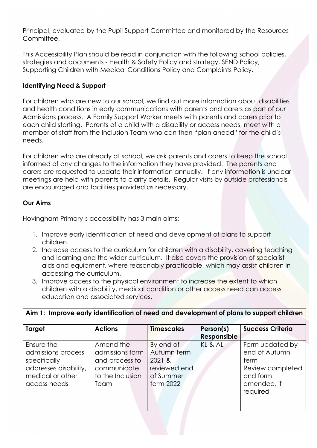Principal, evaluated by the Pupil Support Committee and monitored by the Resources Committee.

This Accessibility Plan should be read in conjunction with the following school policies, strategies and documents - Health & Safety Policy and strategy, SEND Policy, Supporting Children with Medical Conditions Policy and Complaints Policy.

# **Identifying Need & Support**

For children who are new to our school, we find out more information about disabilities and health conditions in early communications with parents and carers as part of our Admissions process. A Family Support Worker meets with parents and carers prior to each child starting. Parents of a child with a disability or access needs, meet with a member of staff from the Inclusion Team who can then "plan ahead" for the child's needs.

For children who are already at school, we ask parents and carers to keep the school informed of any changes to the information they have provided. The parents and carers are requested to update their information annually. If any information is unclear meetings are held with parents to clarify details. Regular visits by outside professionals are encouraged and facilities provided as necessary.

### **Our Aims**

Hovingham Primary's accessibility has 3 main aims:

- 1. Improve early identification of need and development of plans to support children.
- 2. Increase access to the curriculum for children with a disability, covering teaching and learning and the wider curriculum. It also covers the provision of specialist aids and equipment, where reasonably practicable, which may assist children in accessing the curriculum.
- 3. Improve access to the physical environment to increase the extent to which children with a disability, medical condition or other access need can access education and associated services.

| Aim 1: Improve early identification of need and development of plans to support children                      |                                                                                           |                                                                                     |                          |                                                                                                     |
|---------------------------------------------------------------------------------------------------------------|-------------------------------------------------------------------------------------------|-------------------------------------------------------------------------------------|--------------------------|-----------------------------------------------------------------------------------------------------|
| Target                                                                                                        | <b>Actions</b>                                                                            | <b>Timescales</b>                                                                   | Person(s)<br>Responsible | <b>Success Criteria</b>                                                                             |
| Ensure the<br>admissions process<br>specifically<br>addresses disability,<br>medical or other<br>access needs | Amend the<br>admissions form<br>and process to<br>communicate<br>to the Inclusion<br>Team | By end of<br>Autumn term<br>2021 &<br>reviewed end<br>of Summer<br><b>term 2022</b> | KL & AL                  | Form updated by<br>end of Autumn<br>term<br>Review completed<br>and form<br>amended, if<br>required |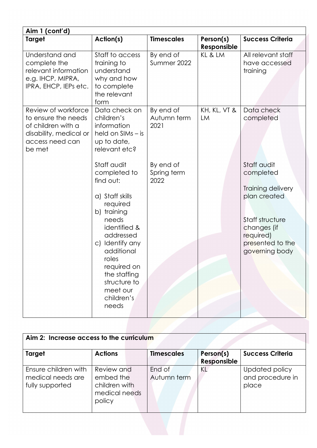| Aim 1 (cont'd)                                                                                                          |                                                                                                                                                                                                                                                          |                                  |                          |                                                                                                                                                    |  |
|-------------------------------------------------------------------------------------------------------------------------|----------------------------------------------------------------------------------------------------------------------------------------------------------------------------------------------------------------------------------------------------------|----------------------------------|--------------------------|----------------------------------------------------------------------------------------------------------------------------------------------------|--|
| <b>Target</b>                                                                                                           | Action(s)                                                                                                                                                                                                                                                | <b>Timescales</b>                | Person(s)<br>Responsible | <b>Success Criteria</b>                                                                                                                            |  |
| Understand and<br>complete the<br>relevant information<br>e.g. IHCP, MIPRA,<br>IPRA, EHCP, IEPs etc.                    | Staff to access<br>training to<br>understand<br>why and how<br>to complete<br>the relevant<br>form                                                                                                                                                       | By end of<br>Summer 2022         | KL & LM                  | All relevant staff<br>have accessed<br>training                                                                                                    |  |
| Review of workforce<br>to ensure the needs<br>of children with a<br>disability, medical or<br>access need can<br>be met | Data check on<br>children's<br>information<br>held on SIMs – is<br>up to date,<br>relevant etc?                                                                                                                                                          | By end of<br>Autumn term<br>2021 | KH, KL, VT &<br>LM       | Data check<br>completed                                                                                                                            |  |
|                                                                                                                         | Staff audit<br>completed to<br>find out:<br>a) Staff skills<br>required<br>b) training<br>needs<br>identified &<br>addressed<br>c) Identify any<br>additional<br>roles<br>required on<br>the staffing<br>structure to<br>meet our<br>children's<br>needs | By end of<br>Spring term<br>2022 |                          | Staff audit<br>completed<br>Training delivery<br>plan created<br>Staff structure<br>changes (if<br>required)<br>presented to the<br>governing body |  |

| Aim 2: Increase access to the curriculum                     |                                                                     |                       |                          |                                             |  |
|--------------------------------------------------------------|---------------------------------------------------------------------|-----------------------|--------------------------|---------------------------------------------|--|
| Target                                                       | <b>Actions</b>                                                      | <b>Timescales</b>     | Person(s)<br>Responsible | <b>Success Criteria</b>                     |  |
| Ensure children with<br>medical needs are<br>fully supported | Review and<br>embed the<br>children with<br>medical needs<br>policy | End of<br>Autumn term | ΚL                       | Updated policy<br>and procedure in<br>place |  |
|                                                              |                                                                     |                       |                          |                                             |  |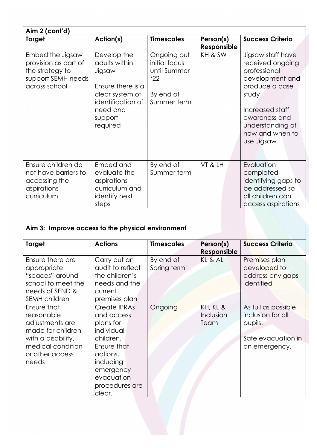| Aim 2 (cont'd)                                                                                     |                                                                                                                                        |                                                                                 |                          |                                                                                                                                                                                              |  |
|----------------------------------------------------------------------------------------------------|----------------------------------------------------------------------------------------------------------------------------------------|---------------------------------------------------------------------------------|--------------------------|----------------------------------------------------------------------------------------------------------------------------------------------------------------------------------------------|--|
| <b>Target</b>                                                                                      | Action(s)                                                                                                                              | <b>Timescales</b>                                                               | Person(s)<br>Responsible | <b>Success Criteria</b>                                                                                                                                                                      |  |
| Embed the Jigsaw<br>provision as part of<br>the strategy to<br>support SEMH needs<br>across school | Develop the<br>adults within<br>Jigsaw<br>Ensure there is a<br>clear system of<br>identification of<br>need and<br>support<br>required | Ongoing but<br>initial focus<br>until Summer<br>'22<br>By end of<br>Summer term | KH & SW                  | Jigsaw staff have<br>received ongoing<br>professional<br>development and<br>produce a case<br>study<br>Increased staff<br>awareness and<br>understanding of<br>how and when to<br>use Jigsaw |  |
| Ensure children do<br>not have barriers to<br>accessing the<br>aspirations<br>curriculum           | Embed and<br>evaluate the<br>aspirations<br>curriculum and<br>identify next<br>steps                                                   | By end of<br>Summer term                                                        | VT & LH                  | Evaluation<br>completed<br>identifying gaps to<br>be addressed so<br>all children can<br>access aspirations                                                                                  |  |

| Aim 3: Improve access to the physical environment                                                                                        |                                                                                                                                                                   |                          |                               |                                                                                            |
|------------------------------------------------------------------------------------------------------------------------------------------|-------------------------------------------------------------------------------------------------------------------------------------------------------------------|--------------------------|-------------------------------|--------------------------------------------------------------------------------------------|
| <b>Target</b>                                                                                                                            | <b>Actions</b>                                                                                                                                                    | <b>Timescales</b>        | Person(s)<br>Responsible      | <b>Success Criteria</b>                                                                    |
| Ensure there are<br>appropriate<br>"spaces" around<br>school to meet the<br>needs of SEND &<br><b>SEMH</b> children                      | Carry out an<br>audit to reflect<br>the children's<br>needs and the<br>current<br>premises plan                                                                   | By end of<br>Spring term | KL & AL                       | Premises plan<br>developed to<br>address any gaps<br>identified                            |
| Ensure that<br>reasonable<br>adjustments are<br>made for children<br>with a disability,<br>medical condition<br>or other access<br>needs | Create IPRAs<br>and access<br>plans for<br>individual<br>children.<br>Ensure that<br>actions,<br>including<br>emergency<br>evacuation<br>procedures are<br>clear. | Ongoing                  | KH, KL &<br>Inclusion<br>Team | As full as possible<br>inclusion for all<br>pupils.<br>Safe evacuation in<br>an emergency. |
|                                                                                                                                          |                                                                                                                                                                   |                          |                               |                                                                                            |